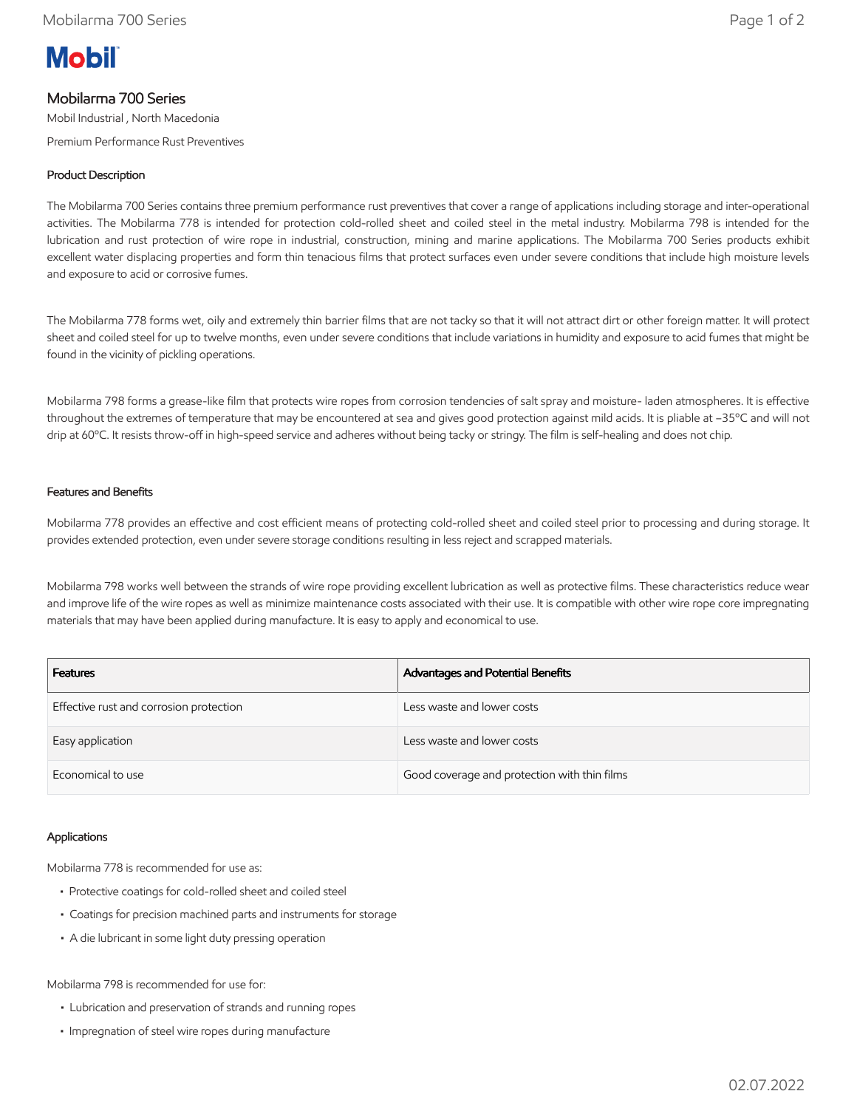# **Mobil**

# Mobilarma 700 Series

Mobil Industrial , North Macedonia

Premium Performance Rust Preventives

## Product Description

The Mobilarma 700 Series contains three premium performance rust preventives that cover a range of applications including storage and inter-operational activities. The Mobilarma 778 is intended for protection cold-rolled sheet and coiled steel in the metal industry. Mobilarma 798 is intended for the lubrication and rust protection of wire rope in industrial, construction, mining and marine applications. The Mobilarma 700 Series products exhibit excellent water displacing properties and form thin tenacious films that protect surfaces even under severe conditions that include high moisture levels and exposure to acid or corrosive fumes.

The Mobilarma 778 forms wet, oily and extremely thin barrier films that are not tacky so that it will not attract dirt or other foreign matter. It will protect sheet and coiled steel for up to twelve months, even under severe conditions that include variations in humidity and exposure to acid fumes that might be found in the vicinity of pickling operations.

Mobilarma 798 forms a grease-like film that protects wire ropes from corrosion tendencies of salt spray and moisture- laden atmospheres. It is effective throughout the extremes of temperature that may be encountered at sea and gives good protection against mild acids. It is pliable at –35ºC and will not drip at 60ºC. It resists throw-off in high-speed service and adheres without being tacky or stringy. The film is self-healing and does not chip.

#### Features and Benefits

Mobilarma 778 provides an effective and cost efficient means of protecting cold-rolled sheet and coiled steel prior to processing and during storage. It provides extended protection, even under severe storage conditions resulting in less reject and scrapped materials.

Mobilarma 798 works well between the strands of wire rope providing excellent lubrication as well as protective films. These characteristics reduce wear and improve life of the wire ropes as well as minimize maintenance costs associated with their use. It is compatible with other wire rope core impregnating materials that may have been applied during manufacture. It is easy to apply and economical to use.

| <b>Features</b>                         | Advantages and Potential Benefits            |
|-----------------------------------------|----------------------------------------------|
| Effective rust and corrosion protection | Less waste and lower costs                   |
| Easy application                        | Less waste and lower costs                   |
| Economical to use                       | Good coverage and protection with thin films |

#### Applications

Mobilarma 778 is recommended for use as:

- Protective coatings for cold-rolled sheet and coiled steel
- Coatings for precision machined parts and instruments for storage
- A die lubricant in some light duty pressing operation

Mobilarma 798 is recommended for use for:

- Lubrication and preservation of strands and running ropes
- Impregnation of steel wire ropes during manufacture